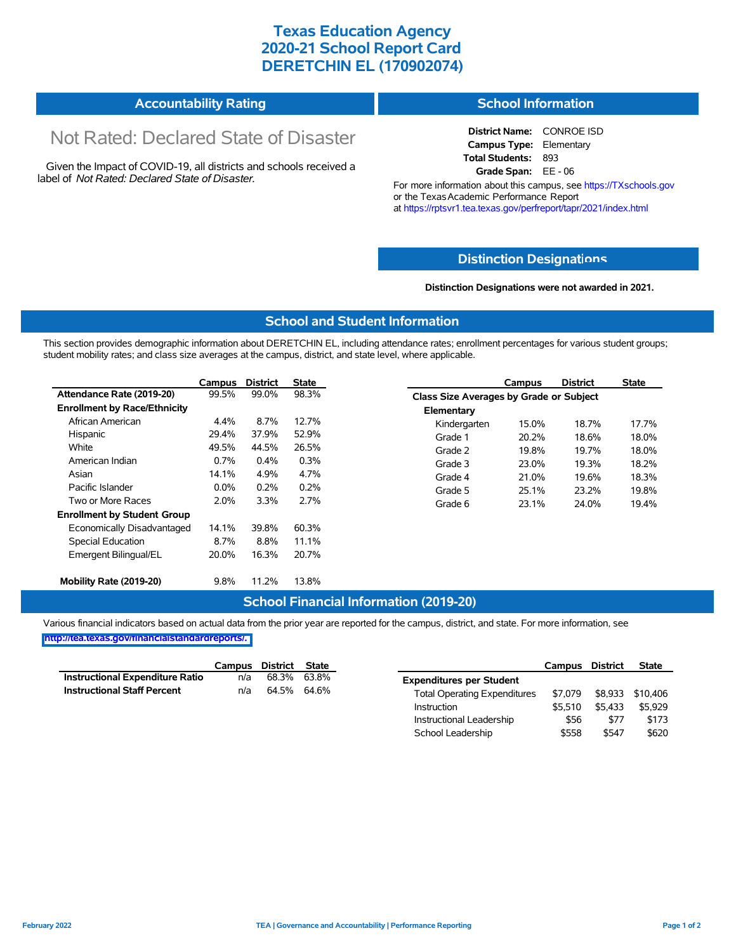# **Texas Education Agency 2020-21 School Report Card DERETCHIN EL (170902074)**

#### **Accountability Rating School Information**

# Not Rated: Declared State of Disaster

Given the Impact of COVID-19, all districts and schools received a label of *Not Rated: Declared State of Disaster.*

**District Name:** CONROE ISD **Campus Type:** Elementary **Total Students:** 893 **Grade Span:** EE - 06

For more information about this campus, see https://TXschools.gov or the Texas Academic Performance Report at https://rptsvr1.tea.texas.gov/perfreport/tapr/2021/index.html

### **Distinction Designat[ions](https://TXschools.gov)**

**Distinction Designations were not awarded in 2021.**

School Leadership  $$558$  \$547 \$620

#### **School and Student Information**

This section provides demographic information about DERETCHIN EL, including attendance rates; enrollment percentages for various student groups; student mobility rates; and class size averages at the campus, district, and state level, where applicable.

|                                     | Campus  | <b>District</b> | <b>State</b> |              | Campus                                         | <b>District</b> | <b>State</b> |  |  |  |
|-------------------------------------|---------|-----------------|--------------|--------------|------------------------------------------------|-----------------|--------------|--|--|--|
| Attendance Rate (2019-20)           | 99.5%   | 99.0%           | 98.3%        |              | <b>Class Size Averages by Grade or Subject</b> |                 |              |  |  |  |
| <b>Enrollment by Race/Ethnicity</b> |         |                 |              | Elementary   |                                                |                 |              |  |  |  |
| African American                    | 4.4%    | 8.7%            | 12.7%        | Kindergarten | 15.0%                                          | 18.7%           | 17.7%        |  |  |  |
| Hispanic                            | 29.4%   | 37.9%           | 52.9%        | Grade 1      | 20.2%                                          | 18.6%           | 18.0%        |  |  |  |
| White                               | 49.5%   | 44.5%           | 26.5%        | Grade 2      | 19.8%                                          | 19.7%           | 18.0%        |  |  |  |
| American Indian                     | 0.7%    | $0.4\%$         | 0.3%         | Grade 3      | 23.0%                                          | 19.3%           | 18.2%        |  |  |  |
| Asian                               | 14.1%   | 4.9%            | 4.7%         | Grade 4      | 21.0%                                          | 19.6%           | 18.3%        |  |  |  |
| Pacific Islander                    | $0.0\%$ | 0.2%            | 0.2%         | Grade 5      | 25.1%                                          | 23.2%           | 19.8%        |  |  |  |
| Two or More Races                   | 2.0%    | 3.3%            | 2.7%         | Grade 6      | 23.1%                                          | 24.0%           | 19.4%        |  |  |  |
| <b>Enrollment by Student Group</b>  |         |                 |              |              |                                                |                 |              |  |  |  |
| Economically Disadvantaged          | 14.1%   | 39.8%           | 60.3%        |              |                                                |                 |              |  |  |  |
| Special Education                   | 8.7%    | 8.8%            | 11.1%        |              |                                                |                 |              |  |  |  |
| Emergent Bilingual/EL               | 20.0%   | 16.3%           | 20.7%        |              |                                                |                 |              |  |  |  |
|                                     |         |                 |              |              |                                                |                 |              |  |  |  |
| Mobility Rate (2019-20)             | 9.8%    | 11.2%           | 13.8%        |              |                                                |                 |              |  |  |  |

#### **School Financial Information (2019-20)**

Various financial indicators based on actual data from the prior year are reported for the campus, district, and state. For more information, see

**[http://tea.texas.gov/financialstandardreports/.](http://tea.texas.gov/financialstandardreports/)**

|                                    | Campus | District    | State |                                     | Campus  | <b>District</b> | <b>State</b>     |
|------------------------------------|--------|-------------|-------|-------------------------------------|---------|-----------------|------------------|
| Instructional Expenditure Ratio    | n/a    | 68.3%       | 63.8% | <b>Expenditures per Student</b>     |         |                 |                  |
| <b>Instructional Staff Percent</b> | n/a    | 64.5% 64.6% |       | <b>Total Operating Expenditures</b> | \$7.079 |                 | \$8,933 \$10,406 |
|                                    |        |             |       | Instruction                         | \$5.510 | \$5.433         | \$5.929          |
|                                    |        |             |       | Instructional Leadership            | \$56    | \$77            | \$173            |